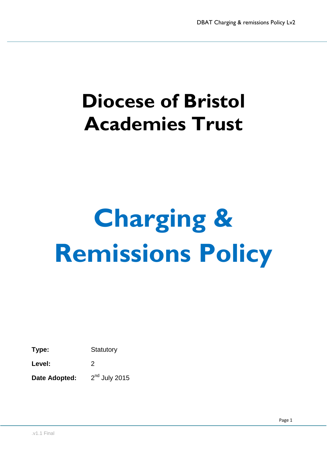## **Diocese of Bristol Academies Trust**

# **Charging & Remissions Policy**

**Type:** Statutory

Level: 2

**Date Adopted:**  $2<sup>nd</sup>$  July 2015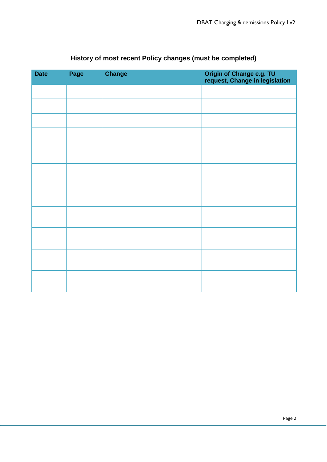| <b>Date</b> | Page | <b>Change</b> | Origin of Change e.g. TU<br>request, Change in legislation |
|-------------|------|---------------|------------------------------------------------------------|
|             |      |               |                                                            |
|             |      |               |                                                            |
|             |      |               |                                                            |
|             |      |               |                                                            |
|             |      |               |                                                            |
|             |      |               |                                                            |
|             |      |               |                                                            |
|             |      |               |                                                            |
|             |      |               |                                                            |
|             |      |               |                                                            |
|             |      |               |                                                            |

### **History of most recent Policy changes (must be completed)**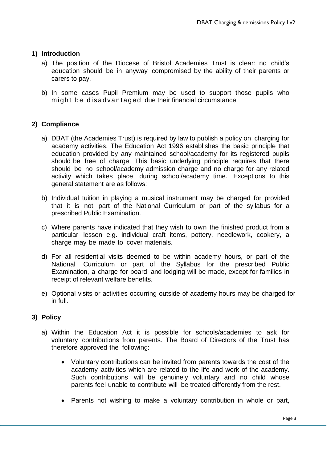#### **1) Introduction**

- a) The position of the Diocese of Bristol Academies Trust is clear: no child's education should be in anyway compromised by the ability of their parents or carers to pay.
- b) In some cases Pupil Premium may be used to support those pupils who might be disadvantaged due their financial circumstance.

#### **2) Compliance**

- a) DBAT (the Academies Trust) is required by law to publish a policy on charging for academy activities. The Education Act 1996 establishes the basic principle that education provided by any maintained school/academy for its registered pupils should be free of charge. This basic underlying principle requires that there should be no school/academy admission charge and no charge for any related activity which takes place during school/academy time. Exceptions to this general statement are as follows:
- b) Individual tuition in playing a musical instrument may be charged for provided that it is not part of the National Curriculum or part of the syllabus for a prescribed Public Examination.
- c) Where parents have indicated that they wish to own the finished product from a particular lesson e.g. individual craft items, pottery, needlework, cookery, a charge may be made to cover materials.
- d) For all residential visits deemed to be within academy hours, or part of the National Curriculum or part of the Syllabus for the prescribed Public Examination, a charge for board and lodging will be made, except for families in receipt of relevant welfare benefits.
- e) Optional visits or activities occurring outside of academy hours may be charged for in full.

#### **3) Policy**

- a) Within the Education Act it is possible for schools/academies to ask for voluntary contributions from parents. The Board of Directors of the Trust has therefore approved the following:
	- Voluntary contributions can be invited from parents towards the cost of the academy activities which are related to the life and work of the academy. Such contributions will be genuinely voluntary and no child whose parents feel unable to contribute will be treated differently from the rest.
	- Parents not wishing to make a voluntary contribution in whole or part,